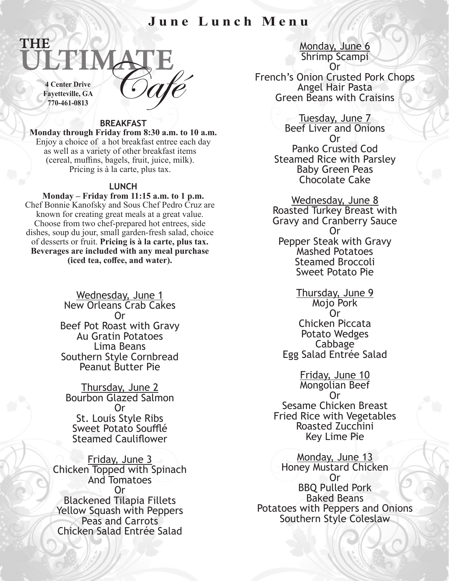## **June Lunch Menu**



THE

## **BREAKFAST**

**Monday through Friday from 8:30 a.m. to 10 a.m.**  Enjoy a choice of a hot breakfast entree each day as well as a variety of other breakfast items (cereal, muffins, bagels, fruit, juice, milk). Pricing is à la carte, plus tax.

## **LUNCH**

**Monday – Friday from 11:15 a.m. to 1 p.m.** Chef Bonnie Kanofsky and Sous Chef Pedro Cruz are known for creating great meals at a great value. Choose from two chef-prepared hot entrees, side dishes, soup du jour, small garden-fresh salad, choice of desserts or fruit. **Pricing is à la carte, plus tax. Beverages are included with any meal purchase (iced tea, coffee, and water).**

> Wednesday, June 1 New Orleans Crab Cakes Or Beef Pot Roast with Gravy Au Gratin Potatoes Lima Beans Southern Style Cornbread Peanut Butter Pie

Thursday, June 2 Bourbon Glazed Salmon Or St. Louis Style Ribs Sweet Potato Soufflé Steamed Cauliflower

Friday, June 3 Chicken Topped with Spinach And Tomatoes Or Blackened Tilapia Fillets Yellow Squash with Peppers Peas and Carrots Chicken Salad Entrée Salad

Monday, June 6 Shrimp Scampi Or

French's Onion Crusted Pork Chops Angel Hair Pasta Green Beans with Craisins

> Tuesday, June 7 Beef Liver and Onions Or Panko Crusted Cod Steamed Rice with Parsley Baby Green Peas Chocolate Cake

Wednesday, June 8 Roasted Turkey Breast with Gravy and Cranberry Sauce Or Pepper Steak with Gravy Mashed Potatoes Steamed Broccoli Sweet Potato Pie

Thursday, June 9 Mojo Pork Or Chicken Piccata Potato Wedges<br>Cabbage Egg Salad Entrée Salad

Friday, June 10 Mongolian Beef Or Sesame Chicken Breast Fried Rice with Vegetables Roasted Zucchini Key Lime Pie

Monday, June 13 Honey Mustard Chicken Or BBQ Pulled Pork Baked Beans Potatoes with Peppers and Onions Southern Style Coleslaw